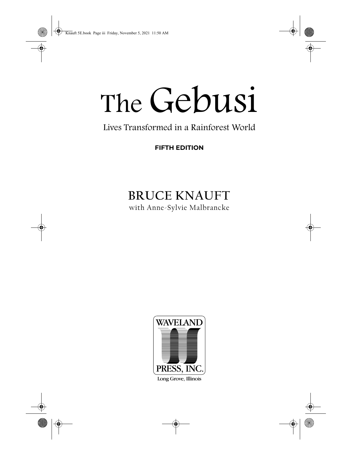# The Gebusi

## Lives Transformed in a Rainforest World

### **FIFTH EDITION**

# **BRUCE KNAUFT**

with Anne-Sylvie Malbrancke



Long Grove, Illinois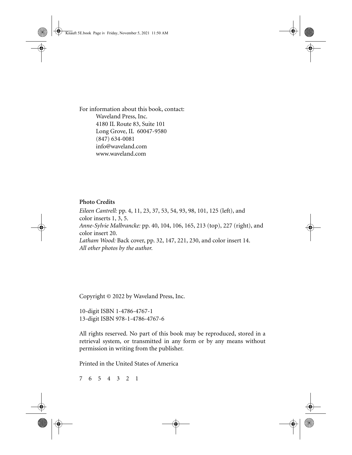For information about this book, contact: Waveland Press, Inc. 4180 IL Route 83, Suite 101 Long Grove, IL 60047-9580 (847) 634-0081 info@waveland.com www.waveland.com

### **Photo Credits**

*Eileen Cantrell:* pp. 4, 11, 23, 37, 53, 54, 93, 98, 101, 125 (left), and color inserts 1, 3, 5. *Anne-Sylvie Malbrancke:* pp. 40, 104, 106, 165, 213 (top), 227 (right), and color insert 20. *Latham Wood:* Back cover, pp. 32, 147, 221, 230, and color insert 14. *All other photos by the author.*

Copyright © 2022 by Waveland Press, Inc.

10-digit ISBN 1-4786-4767-1 13-digit ISBN 978-1-4786-4767-6

All rights reserved. No part of this book may be reproduced, stored in a retrieval system, or transmitted in any form or by any means without permission in writing from the publisher.

Printed in the United States of America

7654321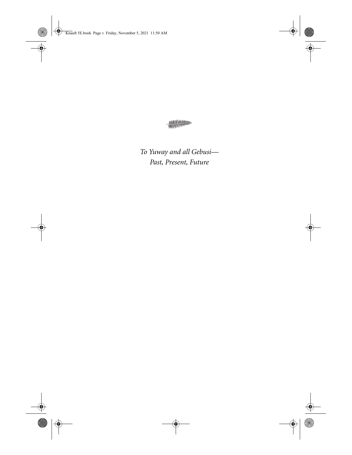### *To Yuway and all Gebusi— Past, Present, Future*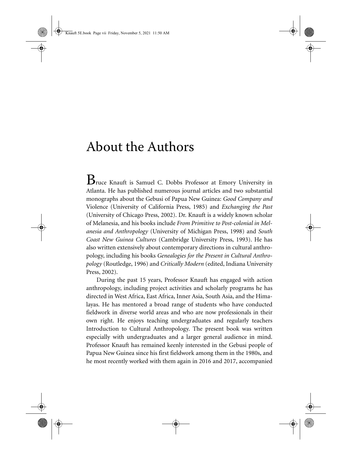# About the Authors

 $\rm{B_{\rm ruce}}$  Knauft is Samuel C. Dobbs Professor at Emory University in Atlanta. He has published numerous journal articles and two substantial monographs about the Gebusi of Papua New Guinea: *Good Company and* Violence (University of California Press, 1985) and *Exchanging the Past* (University of Chicago Press, 2002). Dr. Knauft is a widely known scholar of Melanesia, and his books include *From Primitive to Post-colonial in Melanesia and Anthropology* (University of Michigan Press, 1998) and *South Coast New Guinea Cultures* (Cambridge University Press, 1993). He has also written extensively about contemporary directions in cultural anthropology, including his books *Genealogies for the Present in Cultural Anthropology* (Routledge, 1996) and *Critically Modern* (edited, Indiana University Press, 2002).

During the past 15 years, Professor Knauft has engaged with action anthropology, including project activities and scholarly programs he has directed in West Africa, East Africa, Inner Asia, South Asia, and the Himalayas. He has mentored a broad range of students who have conducted fieldwork in diverse world areas and who are now professionals in their own right. He enjoys teaching undergraduates and regularly teachers Introduction to Cultural Anthropology. The present book was written especially with undergraduates and a larger general audience in mind. Professor Knauft has remained keenly interested in the Gebusi people of Papua New Guinea since his first fieldwork among them in the 1980s, and he most recently worked with them again in 2016 and 2017, accompanied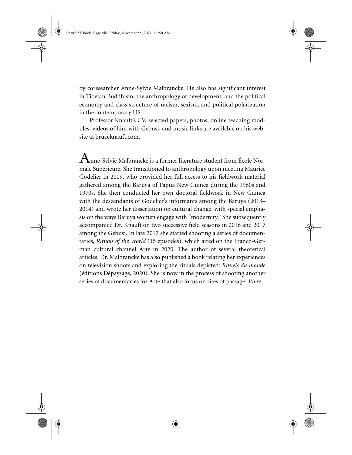by coresearcher Anne-Sylvie Malbrancke. He also has significant interest in Tibetan Buddhism, the anthropology of development, and the political economy and class structure of racism, sexism, and political polarization in the contemporary US.

Professor Knauft's CV, selected papers, photos, online teaching modules, videos of him with Gebusi, and music links are available on his website at bruceknauft.com.

 $\rm\,A$ nne-Sylvie Malbrancke is a former literature student from École Normale Supérieure. She transitioned to anthropology upon meeting Maurice Godelier in 2009, who provided her full access to his fieldwork material gathered among the Baruya of Papua New Guinea during the 1960s and 1970s. She then conducted her own doctoral fieldwork in New Guinea with the descendants of Godelier's informants among the Baruya (2013– 2014) and wrote her dissertation on cultural change, with special emphasis on the ways Baruya women engage with "modernity." She subsequently accompanied Dr. Knauft on two successive field seasons in 2016 and 2017 among the Gebusi. In late 2017 she started shooting a series of documentaries, *Rituals of the World* (15 episodes), which aired on the Franco-German cultural channel Arte in 2020. The author of several theoretical articles, Dr. Malbrancke has also published a book relating her experiences on television shoots and exploring the rituals depicted: *Rituels du monde* (éditions Dépaysage, 2020). She is now in the process of shooting another series of documentaries for Arte that also focus on rites of passage: *Vivre*.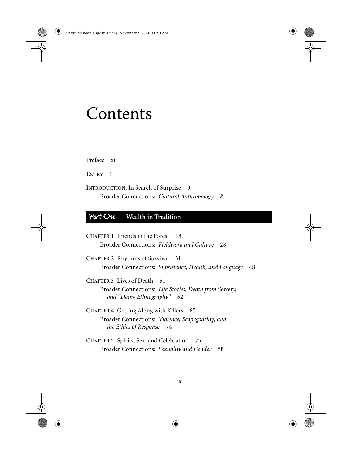# Contents

Preface xi

**ENTRY** 1

**INTRODUCTION:** In Search of Surprise 3 Broader Connections: *Cultural Anthropology 8*

### Part One Wealth in Tradition

**CHAPTER 1** Friends in the Forest 13 Broader Connections: *Fieldwork and Cultur*e 28 **CHAPTER 2** Rhythms of Survival 31 Broader Connections: *Subsistence, Health, and Language* 48 **CHAPTER 3** Lives of Death 51 Broader Connections: *Life Stories, Death from Sorcery, and "Doing Ethnography"* 62 **CHAPTER 4** Getting Along with Killers 65 Broader Connections: *Violence, Scapegoating, and the Ethics of Response* 74 **CHAPTER 5** Spirits, Sex, and Celebration 75 Broader Connections: *Sexuality and Gender* 88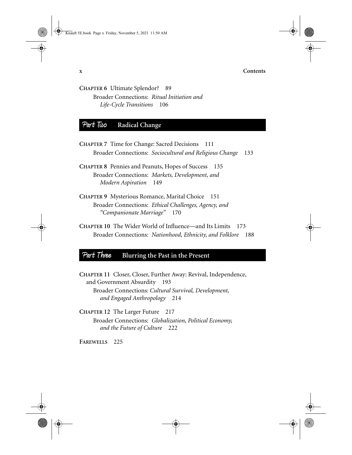**CHAPTER 6** Ultimate Splendor? 89 Broader Connections: *Ritual Initiation and Life-Cycle Transitions* 106

### Part Two Radical Change

**CHAPTER 7** Time for Change: Sacred Decisions 111 Broader Connections: *Sociocultural and Religious Change* 133

**CHAPTER 8** Pennies and Peanuts, Hopes of Success 135 Broader Connections: *Markets, Development, and Modern Aspiration* 149

- **CHAPTER 9** Mysterious Romance, Marital Choice 151 Broader Connections: *Ethical Challenges, Agency, and "Companionate Marriage"* 170
- **CHAPTER 10** The Wider World of Influence—and Its Limits 173 Broader Connections: *Nationhood, Ethnicity, and Folklore* 188

### Part Three Blurring the Past in the Present

**CHAPTER 11** Closer, Closer, Further Away: Revival, Independence, and Government Absurdity 193 Broader Connections: *Cultural Survival, Development, and Engaged Anthropology* 214

**CHAPTER 12** The Larger Future 217 Broader Connections: *Globalization, Political Economy, and the Future of Culture* 222

**FAREWELLS** 225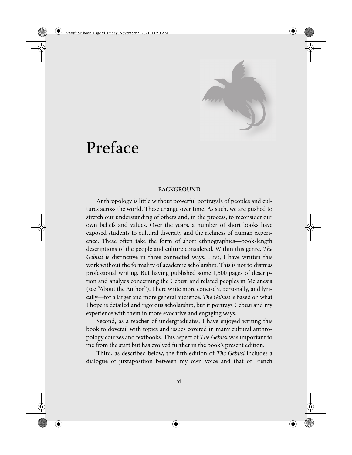

# Preface

### **BACKGROUND**

Anthropology is little without powerful portrayals of peoples and cultures across the world. These change over time. As such, we are pushed to stretch our understanding of others and, in the process, to reconsider our own beliefs and values. Over the years, a number of short books have exposed students to cultural diversity and the richness of human experience. These often take the form of short ethnographies—book-length descriptions of the people and culture considered. Within this genre, *The Gebusi* is distinctive in three connected ways. First, I have written this work without the formality of academic scholarship. This is not to dismiss professional writing. But having published some 1,500 pages of description and analysis concerning the Gebusi and related peoples in Melanesia (see "About the Author"), I here write more concisely, personally, and lyrically—for a larger and more general audience. *The Gebusi* is based on what I hope is detailed and rigorous scholarship, but it portrays Gebusi and my experience with them in more evocative and engaging ways.

Second, as a teacher of undergraduates, I have enjoyed writing this book to dovetail with topics and issues covered in many cultural anthropology courses and textbooks. This aspect of *The Gebusi* was important to me from the start but has evolved further in the book's present edition.

Third, as described below, the fifth edition of *The Gebusi* includes a dialogue of juxtaposition between my own voice and that of French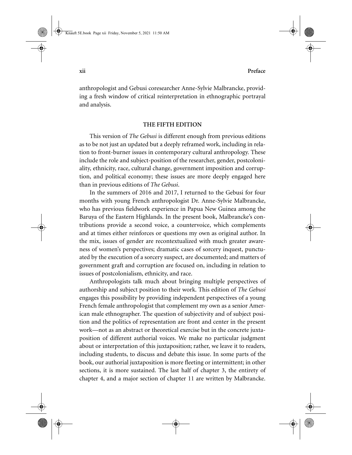anthropologist and Gebusi coresearcher Anne-Sylvie Malbrancke, providing a fresh window of critical reinterpretation in ethnographic portrayal and analysis.

### **THE FIFTH EDITION**

This version of *The Gebusi* is different enough from previous editions as to be not just an updated but a deeply reframed work, including in relation to front-burner issues in contemporary cultural anthropology. These include the role and subject-position of the researcher, gender, postcoloniality, ethnicity, race, cultural change, government imposition and corruption, and political economy; these issues are more deeply engaged here than in previous editions of *The Gebusi*.

In the summers of 2016 and 2017, I returned to the Gebusi for four months with young French anthropologist Dr. Anne-Sylvie Malbrancke, who has previous fieldwork experience in Papua New Guinea among the Baruya of the Eastern Highlands. In the present book, Malbrancke's contributions provide a second voice, a countervoice, which complements and at times either reinforces or questions my own as original author. In the mix, issues of gender are recontextualized with much greater awareness of women's perspectives; dramatic cases of sorcery inquest, punctuated by the execution of a sorcery suspect, are documented; and matters of government graft and corruption are focused on, including in relation to issues of postcolonialism, ethnicity, and race.

Anthropologists talk much about bringing multiple perspectives of authorship and subject position to their work. This edition of *The Gebusi* engages this possibility by providing independent perspectives of a young French female anthropologist that complement my own as a senior American male ethnographer. The question of subjectivity and of subject position and the politics of representation are front and center in the present work—not as an abstract or theoretical exercise but in the concrete juxtaposition of different authorial voices. We make no particular judgment about or interpretation of this juxtaposition; rather, we leave it to readers, including students, to discuss and debate this issue. In some parts of the book, our authorial juxtaposition is more fleeting or intermittent; in other sections, it is more sustained. The last half of chapter 3, the entirety of chapter 4, and a major section of chapter 11 are written by Malbrancke.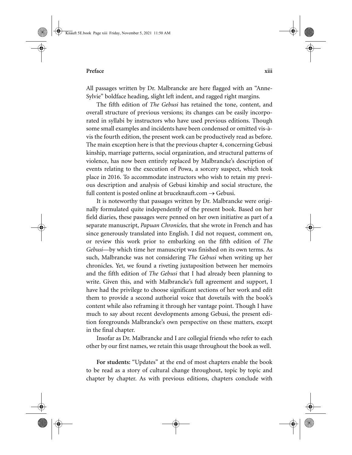#### **Preface** xiii

All passages written by Dr. Malbrancke are here flagged with an "Anne-Sylvie" boldface heading, slight left indent, and ragged right margins.

The fifth edition of *The Gebusi* has retained the tone, content, and overall structure of previous versions; its changes can be easily incorporated in syllabi by instructors who have used previous editions. Though some small examples and incidents have been condensed or omitted vis-àvis the fourth edition, the present work can be productively read as before. The main exception here is that the previous chapter 4, concerning Gebusi kinship, marriage patterns, social organization, and structural patterns of violence, has now been entirely replaced by Malbrancke's description of events relating to the execution of Powa, a sorcery suspect, which took place in 2016. To accommodate instructors who wish to retain my previous description and analysis of Gebusi kinship and social structure, the full content is posted online at bruceknauft.com  $\rightarrow$  Gebusi.

It is noteworthy that passages written by Dr. Malbrancke were originally formulated quite independently of the present book. Based on her field diaries, these passages were penned on her own initiative as part of a separate manuscript, *Papuan Chronicles,* that she wrote in French and has since generously translated into English. I did not request, comment on, or review this work prior to embarking on the fifth edition of *The Gebusi*—by which time her manuscript was finished on its own terms. As such, Malbrancke was not considering *The Gebusi* when writing up her chronicles. Yet, we found a riveting juxtaposition between her memoirs and the fifth edition of *The Gebusi* that I had already been planning to write. Given this, and with Malbrancke's full agreement and support, I have had the privilege to choose significant sections of her work and edit them to provide a second authorial voice that dovetails with the book's content while also reframing it through her vantage point. Though I have much to say about recent developments among Gebusi, the present edition foregrounds Malbrancke's own perspective on these matters, except in the final chapter.

Insofar as Dr. Malbrancke and I are collegial friends who refer to each other by our first names, we retain this usage throughout the book as well.

**For students:** "Updates" at the end of most chapters enable the book to be read as a story of cultural change throughout, topic by topic and chapter by chapter. As with previous editions, chapters conclude with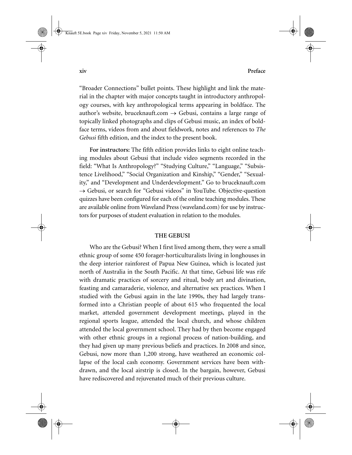"Broader Connections" bullet points. These highlight and link the material in the chapter with major concepts taught in introductory anthropology courses, with key anthropological terms appearing in boldface. The author's website, bruceknauft.com  $\rightarrow$  Gebusi, contains a large range of topically linked photographs and clips of Gebusi music, an index of boldface terms, videos from and about fieldwork, notes and references to *The Gebusi* fifth edition, and the index to the present book.

**For instructors:** The fifth edition provides links to eight online teaching modules about Gebusi that include video segments recorded in the field: "What Is Anthropology?" "Studying Culture," "Language," "Subsistence Livelihood," "Social Organization and Kinship," "Gender," "Sexuality," and "Development and Underdevelopment." Go to bruceknauft.com → Gebusi, or search for "Gebusi videos" in YouTube. Objective-question quizzes have been configured for each of the online teaching modules. These are available online from Waveland Press (waveland.com) for use by instructors for purposes of student evaluation in relation to the modules.

### **THE GEBUSI**

Who are the Gebusi? When I first lived among them, they were a small ethnic group of some 450 forager-horticulturalists living in longhouses in the deep interior rainforest of Papua New Guinea, which is located just north of Australia in the South Pacific. At that time, Gebusi life was rife with dramatic practices of sorcery and ritual, body art and divination, feasting and camaraderie, violence, and alternative sex practices. When I studied with the Gebusi again in the late 1990s, they had largely transformed into a Christian people of about 615 who frequented the local market, attended government development meetings, played in the regional sports league, attended the local church, and whose children attended the local government school. They had by then become engaged with other ethnic groups in a regional process of nation-building, and they had given up many previous beliefs and practices. In 2008 and since, Gebusi, now more than 1,200 strong, have weathered an economic collapse of the local cash economy. Government services have been withdrawn, and the local airstrip is closed. In the bargain, however, Gebusi have rediscovered and rejuvenated much of their previous culture.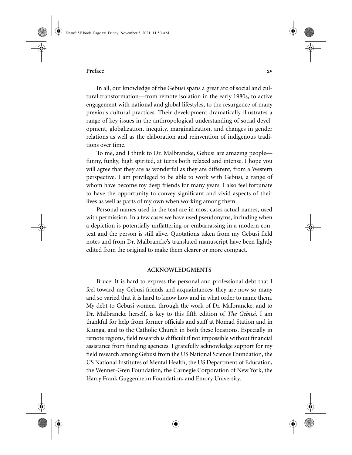#### **Preface** xv

In all, our knowledge of the Gebusi spans a great arc of social and cultural transformation—from remote isolation in the early 1980s, to active engagement with national and global lifestyles, to the resurgence of many previous cultural practices. Their development dramatically illustrates a range of key issues in the anthropological understanding of social development, globalization, inequity, marginalization, and changes in gender relations as well as the elaboration and reinvention of indigenous traditions over time.

To me, and I think to Dr. Malbrancke, Gebusi are amazing people funny, funky, high spirited, at turns both relaxed and intense. I hope you will agree that they are as wonderful as they are different, from a Western perspective. I am privileged to be able to work with Gebusi, a range of whom have become my deep friends for many years. I also feel fortunate to have the opportunity to convey significant and vivid aspects of their lives as well as parts of my own when working among them.

Personal names used in the text are in most cases actual names, used with permission. In a few cases we have used pseudonyms, including when a depiction is potentially unflattering or embarrassing in a modern context and the person is still alive. Quotations taken from my Gebusi field notes and from Dr. Malbrancke's translated manuscript have been lightly edited from the original to make them clearer or more compact.

### **ACKNOWLEDGMENTS**

Bruce: It is hard to express the personal and professional debt that I feel toward my Gebusi friends and acquaintances; they are now so many and so varied that it is hard to know how and in what order to name them. My debt to Gebusi women, through the work of Dr. Malbrancke, and to Dr. Malbrancke herself, is key to this fifth edition of *The Gebusi.* I am thankful for help from former officials and staff at Nomad Station and in Kiunga, and to the Catholic Church in both these locations. Especially in remote regions, field research is difficult if not impossible without financial assistance from funding agencies. I gratefully acknowledge support for my field research among Gebusi from the US National Science Foundation, the US National Institutes of Mental Health, the US Department of Education, the Wenner-Gren Foundation, the Carnegie Corporation of New York, the Harry Frank Guggenheim Foundation, and Emory University.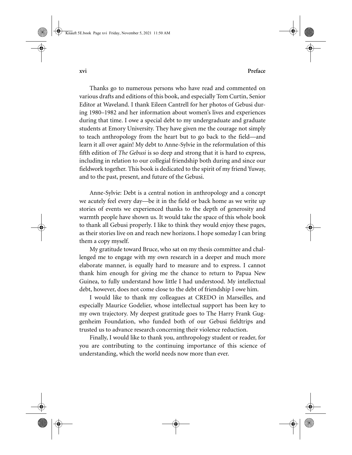Thanks go to numerous persons who have read and commented on various drafts and editions of this book, and especially Tom Curtin, Senior Editor at Waveland. I thank Eileen Cantrell for her photos of Gebusi during 1980–1982 and her information about women's lives and experiences during that time. I owe a special debt to my undergraduate and graduate students at Emory University. They have given me the courage not simply to teach anthropology from the heart but to go back to the field—and learn it all over again! My debt to Anne-Sylvie in the reformulation of this fifth edition of *The Gebusi* is so deep and strong that it is hard to express, including in relation to our collegial friendship both during and since our fieldwork together. This book is dedicated to the spirit of my friend Yuway, and to the past, present, and future of the Gebusi.

Anne-Sylvie: Debt is a central notion in anthropology and a concept we acutely feel every day—be it in the field or back home as we write up stories of events we experienced thanks to the depth of generosity and warmth people have shown us. It would take the space of this whole book to thank all Gebusi properly. I like to think they would enjoy these pages, as their stories live on and reach new horizons. I hope someday I can bring them a copy myself.

My gratitude toward Bruce, who sat on my thesis committee and challenged me to engage with my own research in a deeper and much more elaborate manner, is equally hard to measure and to express. I cannot thank him enough for giving me the chance to return to Papua New Guinea, to fully understand how little I had understood. My intellectual debt, however, does not come close to the debt of friendship I owe him.

I would like to thank my colleagues at CREDO in Marseilles, and especially Maurice Godelier, whose intellectual support has been key to my own trajectory. My deepest gratitude goes to The Harry Frank Guggenheim Foundation, who funded both of our Gebusi fieldtrips and trusted us to advance research concerning their violence reduction.

Finally, I would like to thank you, anthropology student or reader, for you are contributing to the continuing importance of this science of understanding, which the world needs now more than ever.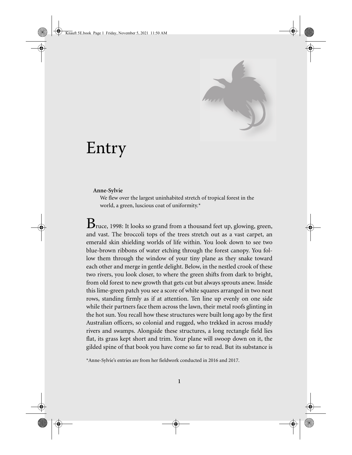

# Entry

#### **Anne-Sylvie**

We flew over the largest uninhabited stretch of tropical forest in the world, a green, luscious coat of uniformity.\*

 $B<sub>ruce, 1998</sub>$ : It looks so grand from a thousand feet up, glowing, green, and vast. The broccoli tops of the trees stretch out as a vast carpet, an emerald skin shielding worlds of life within. You look down to see two blue-brown ribbons of water etching through the forest canopy. You follow them through the window of your tiny plane as they snake toward each other and merge in gentle delight. Below, in the nestled crook of these two rivers, you look closer, to where the green shifts from dark to bright, from old forest to new growth that gets cut but always sprouts anew. Inside this lime-green patch you see a score of white squares arranged in two neat rows, standing firmly as if at attention. Ten line up evenly on one side while their partners face them across the lawn, their metal roofs glinting in the hot sun. You recall how these structures were built long ago by the first Australian officers, so colonial and rugged, who trekked in across muddy rivers and swamps. Alongside these structures, a long rectangle field lies flat, its grass kept short and trim. Your plane will swoop down on it, the gilded spine of that book you have come so far to read. But its substance is

\*Anne-Sylvie's entries are from her fieldwork conducted in 2016 and 2017.